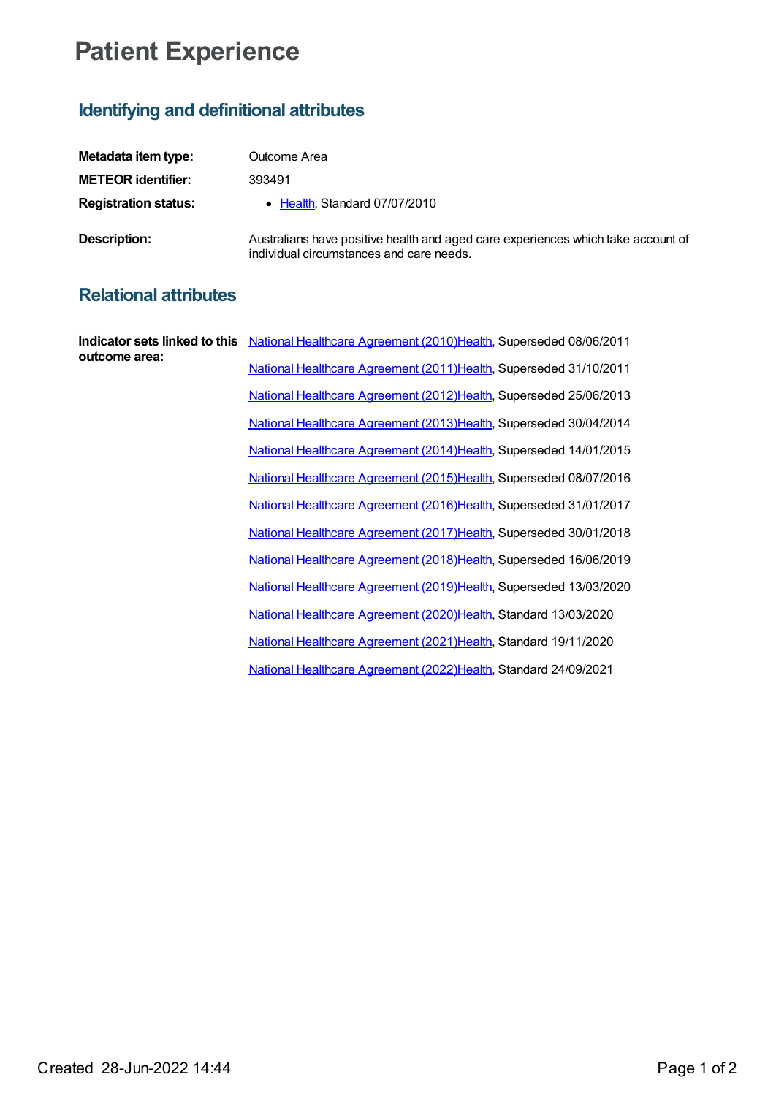## **Patient Experience**

## **Identifying and definitional attributes**

| Metadata item type:         | Outcome Area                                                                                                                 |
|-----------------------------|------------------------------------------------------------------------------------------------------------------------------|
| <b>METEOR identifier:</b>   | 393491                                                                                                                       |
| <b>Registration status:</b> | • Health, Standard 07/07/2010                                                                                                |
| Description:                | Australians have positive health and aged care experiences which take account of<br>individual circumstances and care needs. |

## **Relational attributes**

**Indicator sets linked to this** National Healthcare [Agreement](https://meteor.aihw.gov.au/content/392471) (2010[\)Health](https://meteor.aihw.gov.au/RegistrationAuthority/12), Superseded 08/06/2011 **outcome area:** National Healthcare [Agreement](https://meteor.aihw.gov.au/content/423587) (2011[\)Health](https://meteor.aihw.gov.au/RegistrationAuthority/12), Superseded 31/10/2011 National Healthcare [Agreement](https://meteor.aihw.gov.au/content/435821) (2012[\)Health](https://meteor.aihw.gov.au/RegistrationAuthority/12), Superseded 25/06/2013 National Healthcare [Agreement](https://meteor.aihw.gov.au/content/496807) (2013[\)Health](https://meteor.aihw.gov.au/RegistrationAuthority/12), Superseded 30/04/2014 National Healthcare [Agreement](https://meteor.aihw.gov.au/content/517609) (2014[\)Health](https://meteor.aihw.gov.au/RegistrationAuthority/12), Superseded 14/01/2015 National Healthcare [Agreement](https://meteor.aihw.gov.au/content/558998) (2015[\)Health](https://meteor.aihw.gov.au/RegistrationAuthority/12), Superseded 08/07/2016 National Healthcare [Agreement](https://meteor.aihw.gov.au/content/598643) (2016[\)Health](https://meteor.aihw.gov.au/RegistrationAuthority/12), Superseded 31/01/2017 National Healthcare [Agreement](https://meteor.aihw.gov.au/content/629963) (2017[\)Health](https://meteor.aihw.gov.au/RegistrationAuthority/12), Superseded 30/01/2018 National Healthcare [Agreement](https://meteor.aihw.gov.au/content/658550) (2018[\)Health](https://meteor.aihw.gov.au/RegistrationAuthority/12), Superseded 16/06/2019 National Healthcare [Agreement](https://meteor.aihw.gov.au/content/698954) (2019[\)Health](https://meteor.aihw.gov.au/RegistrationAuthority/12), Superseded 13/03/2020 National Healthcare [Agreement](https://meteor.aihw.gov.au/content/716246) (2020[\)Health](https://meteor.aihw.gov.au/RegistrationAuthority/12), Standard 13/03/2020 National Healthcare [Agreement](https://meteor.aihw.gov.au/content/725844) (2021[\)Health](https://meteor.aihw.gov.au/RegistrationAuthority/12), Standard 19/11/2020 National Healthcare [Agreement](https://meteor.aihw.gov.au/content/740910) (2022[\)Health](https://meteor.aihw.gov.au/RegistrationAuthority/12), Standard 24/09/2021